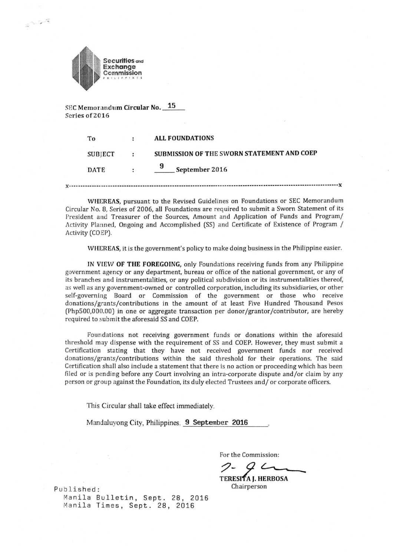

 $3 - 7 - 9$ 

SEC Memorandum Circular No. 15 Scries of 2016

| To             | <b>ALL FOUNDATIONS</b>                     |
|----------------|--------------------------------------------|
| <b>SUBJECT</b> | SUBMISSION OF THE SWORN STATEMENT AND COEP |
| <b>DATE</b>    | 9<br>September 2016                        |

**X**  x

WHEREAS, pursuant to the Revised Guidelines on Foundations or SEC Memorandum Circular No. 8, Series of 2006, all Foundations are required to submit a Sworn Statement of its President and Treasurer of the Sources, Amount and Application of Funds and Program/ Activity Planned, Ongoing and Accomplished (SS) and Certificate of Existence of Program / Activity [COEP).

WHEREAS, it is the government's policy to make doing business in the Philippine easier.

IN VIEW OF THE FOREGOING, only Foundations receiving funds from any Philippine government agency or any department, bureau or office of the national government, or any of its branches and instrumentalities, or any political subdivision or its instrumentalities thereof, as well as any government-owned or controlled corporation, including its subsidiaries, or other self-governing Board or Commission of the government or those who receive donations/grants/contributions in the amount of at least Five Hundred Thousand Pesos (Php500,000.00] in one or aggregate transaction per donor/grantor/contributor, are hereby required to submit the aforesaid SS and COEP.

Foundations not receiving government funds or donations within the aforesaid threshold may dispense with the requirement of SS and COEP. However, they must submit a Certification stating that they have not received government funds nor received donations/grants/contributions within the said threshold for their operations. The said Certification shall also include a statement that there is no action or proceeding which has been filed or is pending before any Court involving an intra-corporate dispute and/or claim by any person or group against the Foundation, its duly elected Trustees and/ or corporate officers.

This Circular shall take effect immediately.

Mandaluyong City, Philippines. 9 September 2016

For the Commission:

TERESITA J. HERBOSA<br>Chairperson

Published: Manila Bulletin, Sept. 28, 2016 Manila Times, Sept. 28, 2016